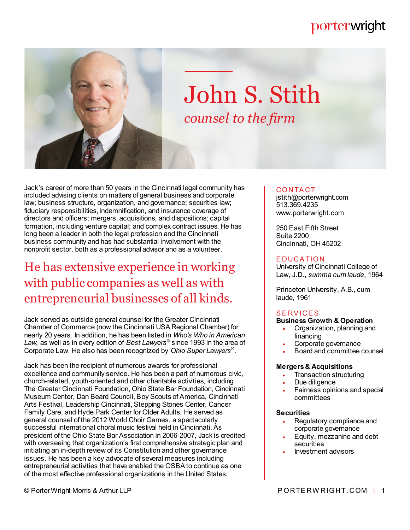# porterwright



# John S. Stith *counsel to the firm*

Jack's career of more than 50 years in the Cincinnati legal community has included advising clients on matters of general business and corporate law; business structure, organization, and governance; securities law; fiduciary responsibilities, indemnification, and insurance coverage of directors and officers; mergers, acquisitions, and dispositions; capital formation, including venture capital; and complex contract issues. He has long been a leader in both the legal profession and the Cincinnati business community and has had substantial involvement with the nonprofit sector, both as a professional advisor and as a volunteer.

# He has extensive experience in working with public companies as well as with entrepreneurial businesses of all kinds.

Jack served as outside general counsel for the Greater Cincinnati Chamber of Commerce (now the Cincinnati USA Regional Chamber) for nearly 20 years. In addition, he has been listed in *Who's Who in American Law*, as well as in every edition of *Best Lawyers*® since 1993 in the area of Corporate Law. He also has been recognized by *Ohio Super Lawyers*® .

Jack has been the recipient of numerous awards for professional excellence and community service. He has been a part of numerous civic, church-related, youth-oriented and other charitable activities, including The Greater Cincinnati Foundation, Ohio State Bar Foundation, Cincinnati Museum Center, Dan Beard Council, Boy Scouts of America, Cincinnati Arts Festival, Leadership Cincinnati, Stepping Stones Center, Cancer Family Care, and Hyde Park Center for Older Adults. He served as general counsel of the 2012 World Choir Games, a spectacularly successful international choral music festival held in Cincinnati. As president of the Ohio State Bar Association in 2006-2007, Jack is credited with overseeing that organization's first comprehensive strategic plan and initiating an in-depth review of its Constitution and other governance issues. He has been a key advocate of several measures including entrepreneurial activities that have enabled the OSBA to continue as one of the most effective professional organizations in the United States.

# **CONTACT**

jstith@porterwright.com 513.369.4235 www.porterwright.com

250 East Fifth Street Suite 2200 Cincinnati, OH 45202

### **EDUCATION**

University of Cincinnati College of Law, J.D., *summa cum laude*, 1964

Princeton University, A.B., cum laude, 1961

# **SERVICES**

# **Business Growth & Operation**

- Organization, planning and financing
- Corporate governance
- Board and committee counsel

#### **Mergers & Acquisitions**

- Transaction structuring
- Due diligence
- Fairness opinions and special committees

### **Securities**

- Regulatory compliance and corporate governance
- Equity, mezzanine and debt securities
- Investment advisors